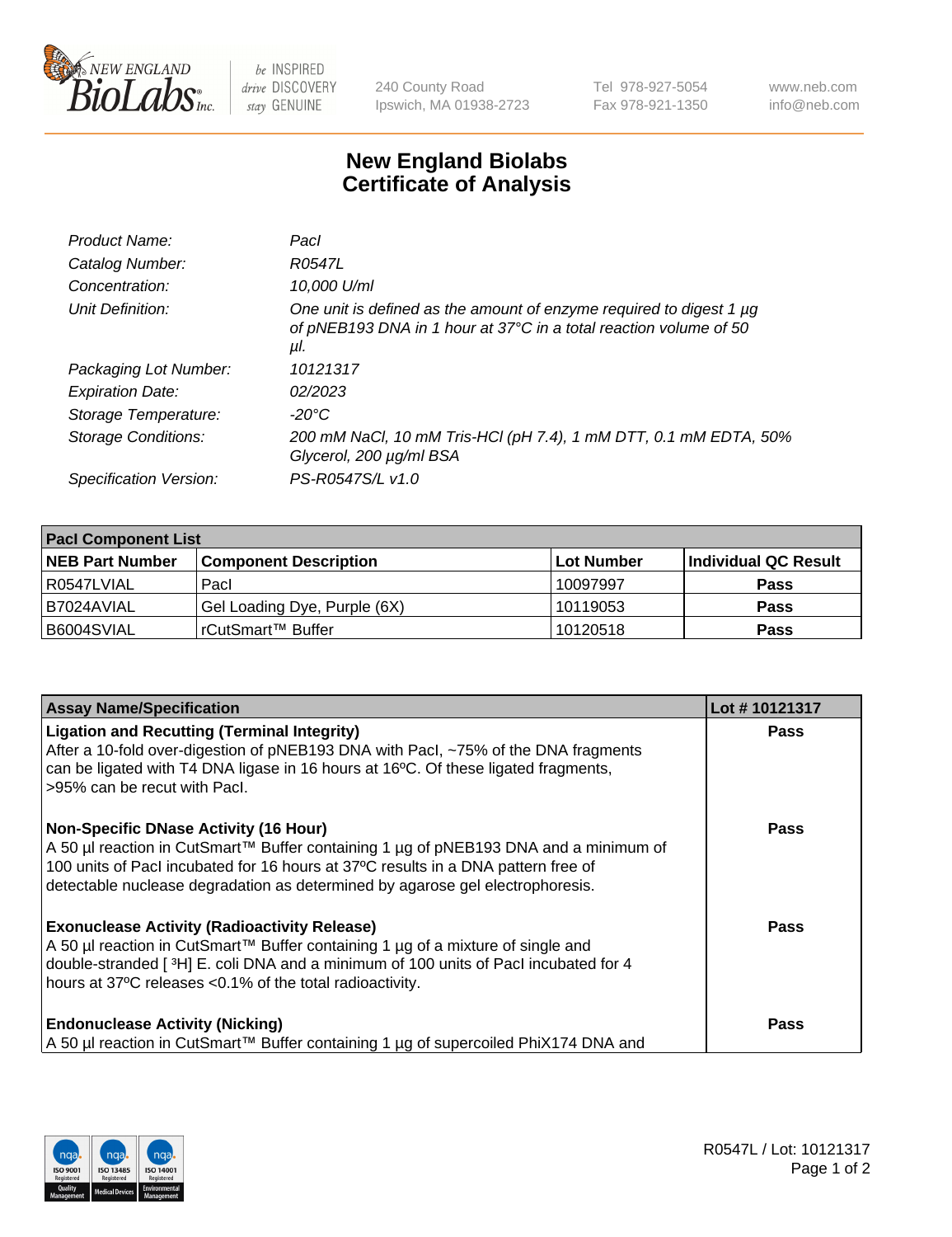

 $be$  INSPIRED drive DISCOVERY stay GENUINE

240 County Road Ipswich, MA 01938-2723 Tel 978-927-5054 Fax 978-921-1350 www.neb.com info@neb.com

## **New England Biolabs Certificate of Analysis**

| Product Name:           | Pacl                                                                                                                                            |
|-------------------------|-------------------------------------------------------------------------------------------------------------------------------------------------|
| Catalog Number:         | R0547L                                                                                                                                          |
| Concentration:          | 10,000 U/ml                                                                                                                                     |
| Unit Definition:        | One unit is defined as the amount of enzyme required to digest 1 µg<br>of pNEB193 DNA in 1 hour at 37°C in a total reaction volume of 50<br>μl. |
| Packaging Lot Number:   | 10121317                                                                                                                                        |
| <b>Expiration Date:</b> | 02/2023                                                                                                                                         |
| Storage Temperature:    | $-20^{\circ}$ C                                                                                                                                 |
| Storage Conditions:     | 200 mM NaCl, 10 mM Tris-HCl (pH 7.4), 1 mM DTT, 0.1 mM EDTA, 50%<br>Glycerol, 200 µg/ml BSA                                                     |
| Specification Version:  | PS-R0547S/L v1.0                                                                                                                                |

| <b>Pacl Component List</b> |                              |            |                      |  |  |
|----------------------------|------------------------------|------------|----------------------|--|--|
| <b>NEB Part Number</b>     | <b>Component Description</b> | Lot Number | Individual QC Result |  |  |
| R0547LVIAL                 | Pacl                         | 10097997   | <b>Pass</b>          |  |  |
| I B7024AVIAL               | Gel Loading Dye, Purple (6X) | 10119053   | <b>Pass</b>          |  |  |
| B6004SVIAL                 | l rCutSmart™ Buffer_         | 10120518   | <b>Pass</b>          |  |  |

| <b>Assay Name/Specification</b>                                                                                                                                                                                                                                                                            | Lot #10121317 |
|------------------------------------------------------------------------------------------------------------------------------------------------------------------------------------------------------------------------------------------------------------------------------------------------------------|---------------|
| <b>Ligation and Recutting (Terminal Integrity)</b><br>After a 10-fold over-digestion of pNEB193 DNA with Pacl, ~75% of the DNA fragments<br>can be ligated with T4 DNA ligase in 16 hours at 16 $\degree$ C. Of these ligated fragments,<br>l >95% can be recut with Pacl.                                 | <b>Pass</b>   |
| <b>Non-Specific DNase Activity (16 Hour)</b><br>A 50 µl reaction in CutSmart™ Buffer containing 1 µg of pNEB193 DNA and a minimum of<br>100 units of Pacl incubated for 16 hours at 37°C results in a DNA pattern free of<br>detectable nuclease degradation as determined by agarose gel electrophoresis. | Pass          |
| <b>Exonuclease Activity (Radioactivity Release)</b><br>A 50 µl reaction in CutSmart™ Buffer containing 1 µg of a mixture of single and<br>double-stranded [3H] E. coli DNA and a minimum of 100 units of Pacl incubated for 4<br>hours at 37°C releases <0.1% of the total radioactivity.                  | Pass          |
| <b>Endonuclease Activity (Nicking)</b><br>  A 50 µl reaction in CutSmart™ Buffer containing 1 µg of supercoiled PhiX174 DNA and                                                                                                                                                                            | <b>Pass</b>   |